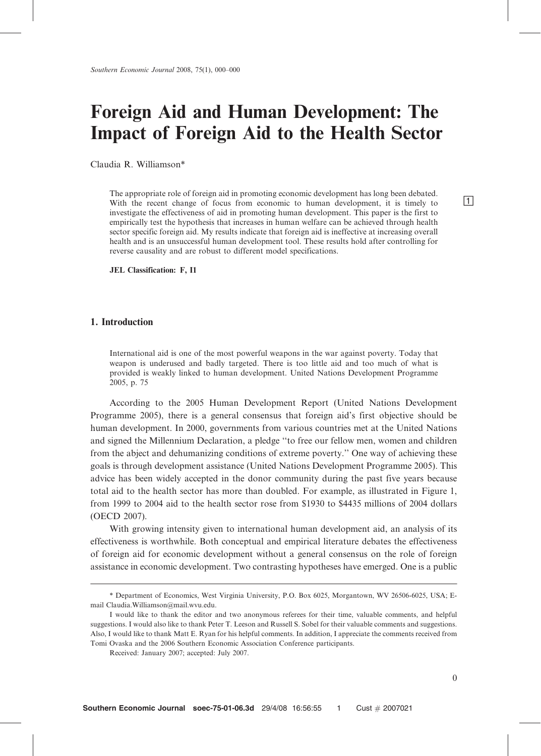# Foreign Aid and Human Development: The Impact of Foreign Aid to the Health Sector

Claudia R. Williamson\*

The appropriate role of foreign aid in promoting economic development has long been debated. With the recent change of focus from economic to human development, it is timely to  $\Box$ investigate the effectiveness of aid in promoting human development. This paper is the first to empirically test the hypothesis that increases in human welfare can be achieved through health sector specific foreign aid. My results indicate that foreign aid is ineffective at increasing overall health and is an unsuccessful human development tool. These results hold after controlling for reverse causality and are robust to different model specifications.

JEL Classification: F, I1

#### 1. Introduction

International aid is one of the most powerful weapons in the war against poverty. Today that weapon is underused and badly targeted. There is too little aid and too much of what is provided is weakly linked to human development. United Nations Development Programme 2005, p. 75

According to the 2005 Human Development Report (United Nations Development Programme 2005), there is a general consensus that foreign aid's first objective should be human development. In 2000, governments from various countries met at the United Nations and signed the Millennium Declaration, a pledge ''to free our fellow men, women and children from the abject and dehumanizing conditions of extreme poverty.'' One way of achieving these goals is through development assistance (United Nations Development Programme 2005). This advice has been widely accepted in the donor community during the past five years because total aid to the health sector has more than doubled. For example, as illustrated in Figure 1, from 1999 to 2004 aid to the health sector rose from \$1930 to \$4435 millions of 2004 dollars (OECD 2007).

With growing intensity given to international human development aid, an analysis of its effectiveness is worthwhile. Both conceptual and empirical literature debates the effectiveness of foreign aid for economic development without a general consensus on the role of foreign assistance in economic development. Two contrasting hypotheses have emerged. One is a public

<sup>\*</sup> Department of Economics, West Virginia University, P.O. Box 6025, Morgantown, WV 26506-6025, USA; Email Claudia.Williamson@mail.wvu.edu.

I would like to thank the editor and two anonymous referees for their time, valuable comments, and helpful suggestions. I would also like to thank Peter T. Leeson and Russell S. Sobel for their valuable comments and suggestions. Also, I would like to thank Matt E. Ryan for his helpful comments. In addition, I appreciate the comments received from Tomi Ovaska and the 2006 Southern Economic Association Conference participants.

Received: January 2007; accepted: July 2007.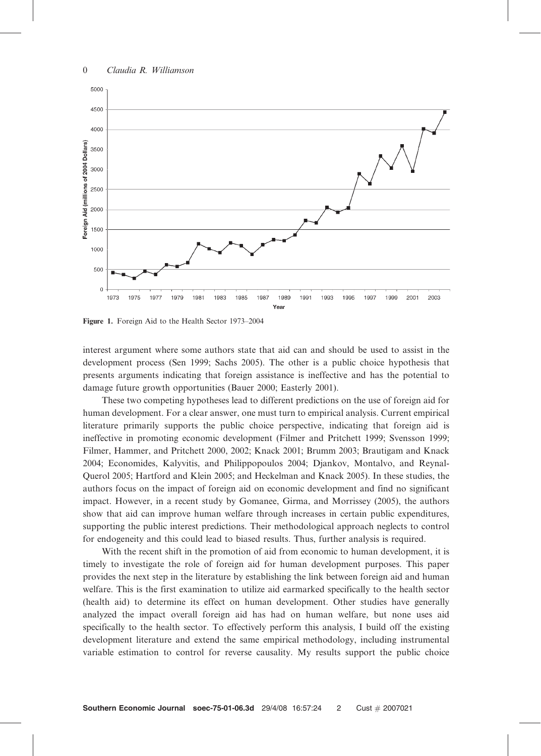

Figure 1. Foreign Aid to the Health Sector 1973–2004

interest argument where some authors state that aid can and should be used to assist in the development process (Sen 1999; Sachs 2005). The other is a public choice hypothesis that presents arguments indicating that foreign assistance is ineffective and has the potential to damage future growth opportunities (Bauer 2000; Easterly 2001).

These two competing hypotheses lead to different predictions on the use of foreign aid for human development. For a clear answer, one must turn to empirical analysis. Current empirical literature primarily supports the public choice perspective, indicating that foreign aid is ineffective in promoting economic development (Filmer and Pritchett 1999; Svensson 1999; Filmer, Hammer, and Pritchett 2000, 2002; Knack 2001; Brumm 2003; Brautigam and Knack 2004; Economides, Kalyvitis, and Philippopoulos 2004; Djankov, Montalvo, and Reynal-Querol 2005; Hartford and Klein 2005; and Heckelman and Knack 2005). In these studies, the authors focus on the impact of foreign aid on economic development and find no significant impact. However, in a recent study by Gomanee, Girma, and Morrissey (2005), the authors show that aid can improve human welfare through increases in certain public expenditures, supporting the public interest predictions. Their methodological approach neglects to control for endogeneity and this could lead to biased results. Thus, further analysis is required.

With the recent shift in the promotion of aid from economic to human development, it is timely to investigate the role of foreign aid for human development purposes. This paper provides the next step in the literature by establishing the link between foreign aid and human welfare. This is the first examination to utilize aid earmarked specifically to the health sector (health aid) to determine its effect on human development. Other studies have generally analyzed the impact overall foreign aid has had on human welfare, but none uses aid specifically to the health sector. To effectively perform this analysis, I build off the existing development literature and extend the same empirical methodology, including instrumental variable estimation to control for reverse causality. My results support the public choice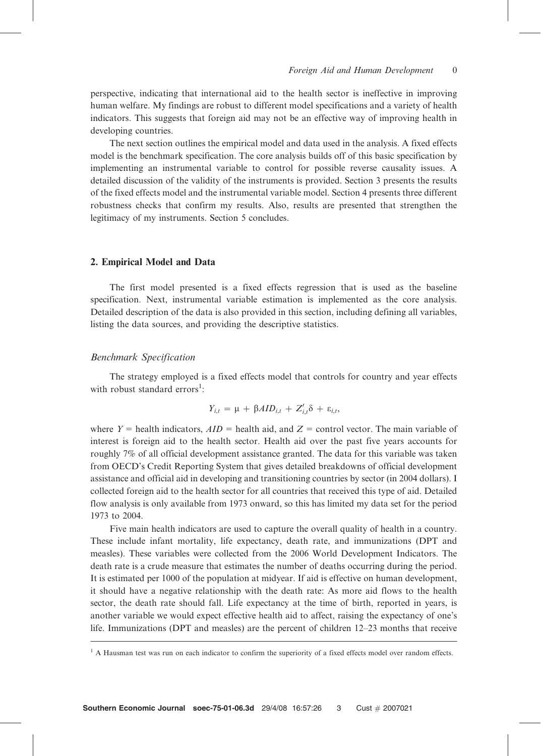perspective, indicating that international aid to the health sector is ineffective in improving human welfare. My findings are robust to different model specifications and a variety of health indicators. This suggests that foreign aid may not be an effective way of improving health in developing countries.

The next section outlines the empirical model and data used in the analysis. A fixed effects model is the benchmark specification. The core analysis builds off of this basic specification by implementing an instrumental variable to control for possible reverse causality issues. A detailed discussion of the validity of the instruments is provided. Section 3 presents the results of the fixed effects model and the instrumental variable model. Section 4 presents three different robustness checks that confirm my results. Also, results are presented that strengthen the legitimacy of my instruments. Section 5 concludes.

#### 2. Empirical Model and Data

The first model presented is a fixed effects regression that is used as the baseline specification. Next, instrumental variable estimation is implemented as the core analysis. Detailed description of the data is also provided in this section, including defining all variables, listing the data sources, and providing the descriptive statistics.

#### Benchmark Specification

The strategy employed is a fixed effects model that controls for country and year effects with robust standard errors<sup>1</sup>:

$$
Y_{i,t} = \mu + \beta A I D_{i,t} + Z'_{i,t} \delta + \varepsilon_{i,t},
$$

where  $Y =$  health indicators,  $AID =$  health aid, and  $Z =$  control vector. The main variable of interest is foreign aid to the health sector. Health aid over the past five years accounts for roughly 7% of all official development assistance granted. The data for this variable was taken from OECD's Credit Reporting System that gives detailed breakdowns of official development assistance and official aid in developing and transitioning countries by sector (in 2004 dollars). I collected foreign aid to the health sector for all countries that received this type of aid. Detailed flow analysis is only available from 1973 onward, so this has limited my data set for the period 1973 to 2004.

Five main health indicators are used to capture the overall quality of health in a country. These include infant mortality, life expectancy, death rate, and immunizations (DPT and measles). These variables were collected from the 2006 World Development Indicators. The death rate is a crude measure that estimates the number of deaths occurring during the period. It is estimated per 1000 of the population at midyear. If aid is effective on human development, it should have a negative relationship with the death rate: As more aid flows to the health sector, the death rate should fall. Life expectancy at the time of birth, reported in years, is another variable we would expect effective health aid to affect, raising the expectancy of one's life. Immunizations (DPT and measles) are the percent of children 12–23 months that receive

<sup>&</sup>lt;sup>1</sup> A Hausman test was run on each indicator to confirm the superiority of a fixed effects model over random effects.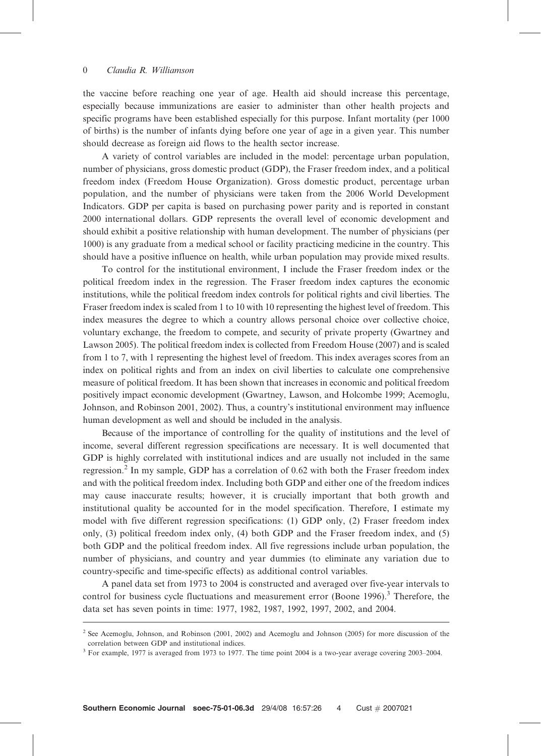the vaccine before reaching one year of age. Health aid should increase this percentage, especially because immunizations are easier to administer than other health projects and specific programs have been established especially for this purpose. Infant mortality (per 1000 of births) is the number of infants dying before one year of age in a given year. This number should decrease as foreign aid flows to the health sector increase.

A variety of control variables are included in the model: percentage urban population, number of physicians, gross domestic product (GDP), the Fraser freedom index, and a political freedom index (Freedom House Organization). Gross domestic product, percentage urban population, and the number of physicians were taken from the 2006 World Development Indicators. GDP per capita is based on purchasing power parity and is reported in constant 2000 international dollars. GDP represents the overall level of economic development and should exhibit a positive relationship with human development. The number of physicians (per 1000) is any graduate from a medical school or facility practicing medicine in the country. This should have a positive influence on health, while urban population may provide mixed results.

To control for the institutional environment, I include the Fraser freedom index or the political freedom index in the regression. The Fraser freedom index captures the economic institutions, while the political freedom index controls for political rights and civil liberties. The Fraser freedom index is scaled from 1 to 10 with 10 representing the highest level of freedom. This index measures the degree to which a country allows personal choice over collective choice, voluntary exchange, the freedom to compete, and security of private property (Gwartney and Lawson 2005). The political freedom index is collected from Freedom House (2007) and is scaled from 1 to 7, with 1 representing the highest level of freedom. This index averages scores from an index on political rights and from an index on civil liberties to calculate one comprehensive measure of political freedom. It has been shown that increases in economic and political freedom positively impact economic development (Gwartney, Lawson, and Holcombe 1999; Acemoglu, Johnson, and Robinson 2001, 2002). Thus, a country's institutional environment may influence human development as well and should be included in the analysis.

Because of the importance of controlling for the quality of institutions and the level of income, several different regression specifications are necessary. It is well documented that GDP is highly correlated with institutional indices and are usually not included in the same regression.<sup>2</sup> In my sample, GDP has a correlation of 0.62 with both the Fraser freedom index and with the political freedom index. Including both GDP and either one of the freedom indices may cause inaccurate results; however, it is crucially important that both growth and institutional quality be accounted for in the model specification. Therefore, I estimate my model with five different regression specifications: (1) GDP only, (2) Fraser freedom index only, (3) political freedom index only, (4) both GDP and the Fraser freedom index, and (5) both GDP and the political freedom index. All five regressions include urban population, the number of physicians, and country and year dummies (to eliminate any variation due to country-specific and time-specific effects) as additional control variables.

A panel data set from 1973 to 2004 is constructed and averaged over five-year intervals to control for business cycle fluctuations and measurement error (Boone 1996).<sup>3</sup> Therefore, the data set has seven points in time: 1977, 1982, 1987, 1992, 1997, 2002, and 2004.

<sup>&</sup>lt;sup>2</sup> See Acemoglu, Johnson, and Robinson (2001, 2002) and Acemoglu and Johnson (2005) for more discussion of the correlation between GDP and institutional indices.

<sup>&</sup>lt;sup>3</sup> For example, 1977 is averaged from 1973 to 1977. The time point 2004 is a two-year average covering 2003-2004.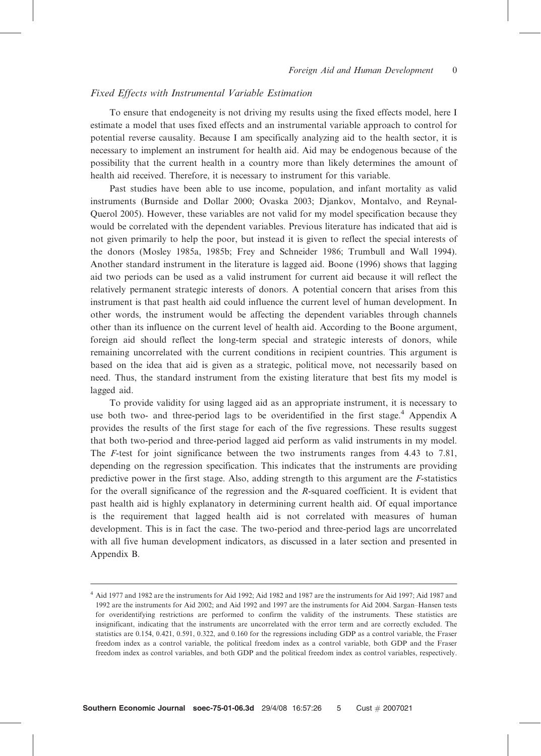#### Fixed Effects with Instrumental Variable Estimation

To ensure that endogeneity is not driving my results using the fixed effects model, here I estimate a model that uses fixed effects and an instrumental variable approach to control for potential reverse causality. Because I am specifically analyzing aid to the health sector, it is necessary to implement an instrument for health aid. Aid may be endogenous because of the possibility that the current health in a country more than likely determines the amount of health aid received. Therefore, it is necessary to instrument for this variable.

Past studies have been able to use income, population, and infant mortality as valid instruments (Burnside and Dollar 2000; Ovaska 2003; Djankov, Montalvo, and Reynal-Querol 2005). However, these variables are not valid for my model specification because they would be correlated with the dependent variables. Previous literature has indicated that aid is not given primarily to help the poor, but instead it is given to reflect the special interests of the donors (Mosley 1985a, 1985b; Frey and Schneider 1986; Trumbull and Wall 1994). Another standard instrument in the literature is lagged aid. Boone (1996) shows that lagging aid two periods can be used as a valid instrument for current aid because it will reflect the relatively permanent strategic interests of donors. A potential concern that arises from this instrument is that past health aid could influence the current level of human development. In other words, the instrument would be affecting the dependent variables through channels other than its influence on the current level of health aid. According to the Boone argument, foreign aid should reflect the long-term special and strategic interests of donors, while remaining uncorrelated with the current conditions in recipient countries. This argument is based on the idea that aid is given as a strategic, political move, not necessarily based on need. Thus, the standard instrument from the existing literature that best fits my model is lagged aid.

To provide validity for using lagged aid as an appropriate instrument, it is necessary to use both two- and three-period lags to be overidentified in the first stage.<sup>4</sup> Appendix A provides the results of the first stage for each of the five regressions. These results suggest that both two-period and three-period lagged aid perform as valid instruments in my model. The F-test for joint significance between the two instruments ranges from 4.43 to 7.81, depending on the regression specification. This indicates that the instruments are providing predictive power in the first stage. Also, adding strength to this argument are the F-statistics for the overall significance of the regression and the R-squared coefficient. It is evident that past health aid is highly explanatory in determining current health aid. Of equal importance is the requirement that lagged health aid is not correlated with measures of human development. This is in fact the case. The two-period and three-period lags are uncorrelated with all five human development indicators, as discussed in a later section and presented in Appendix B.

<sup>4</sup> Aid 1977 and 1982 are the instruments for Aid 1992; Aid 1982 and 1987 are the instruments for Aid 1997; Aid 1987 and 1992 are the instruments for Aid 2002; and Aid 1992 and 1997 are the instruments for Aid 2004. Sargan–Hansen tests for overidentifying restrictions are performed to confirm the validity of the instruments. These statistics are insignificant, indicating that the instruments are uncorrelated with the error term and are correctly excluded. The statistics are 0.154, 0.421, 0.591, 0.322, and 0.160 for the regressions including GDP as a control variable, the Fraser freedom index as a control variable, the political freedom index as a control variable, both GDP and the Fraser freedom index as control variables, and both GDP and the political freedom index as control variables, respectively.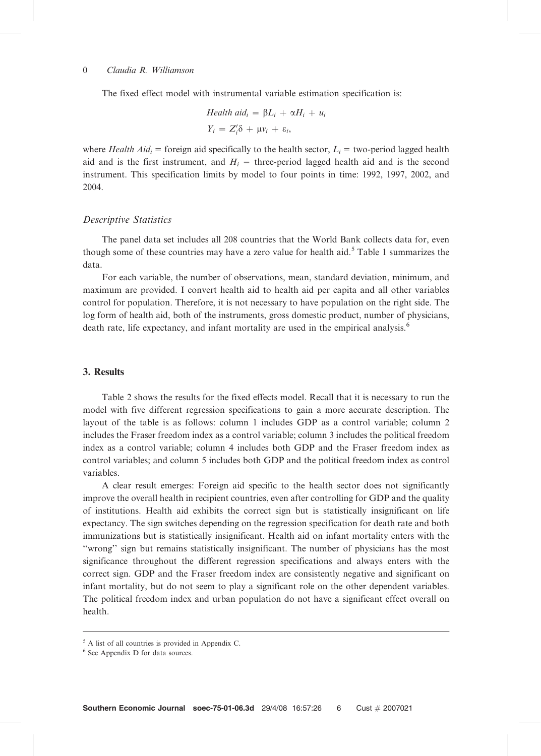The fixed effect model with instrumental variable estimation specification is:

$$
Health \naidi = \beta Li + \alpha Hi + ui
$$
\n
$$
Yi = Z'i \delta + \mu vi + \varepsiloni,
$$

where Health Aid<sub>i</sub> = foreign aid specifically to the health sector,  $L<sub>i</sub>$  = two-period lagged health aid and is the first instrument, and  $H<sub>i</sub> =$  three-period lagged health aid and is the second instrument. This specification limits by model to four points in time: 1992, 1997, 2002, and 2004.

#### Descriptive Statistics

The panel data set includes all 208 countries that the World Bank collects data for, even though some of these countries may have a zero value for health aid.<sup>5</sup> Table 1 summarizes the data.

For each variable, the number of observations, mean, standard deviation, minimum, and maximum are provided. I convert health aid to health aid per capita and all other variables control for population. Therefore, it is not necessary to have population on the right side. The log form of health aid, both of the instruments, gross domestic product, number of physicians, death rate, life expectancy, and infant mortality are used in the empirical analysis.<sup>6</sup>

#### 3. Results

Table 2 shows the results for the fixed effects model. Recall that it is necessary to run the model with five different regression specifications to gain a more accurate description. The layout of the table is as follows: column 1 includes GDP as a control variable; column 2 includes the Fraser freedom index as a control variable; column 3 includes the political freedom index as a control variable; column 4 includes both GDP and the Fraser freedom index as control variables; and column 5 includes both GDP and the political freedom index as control variables.

A clear result emerges: Foreign aid specific to the health sector does not significantly improve the overall health in recipient countries, even after controlling for GDP and the quality of institutions. Health aid exhibits the correct sign but is statistically insignificant on life expectancy. The sign switches depending on the regression specification for death rate and both immunizations but is statistically insignificant. Health aid on infant mortality enters with the ''wrong'' sign but remains statistically insignificant. The number of physicians has the most significance throughout the different regression specifications and always enters with the correct sign. GDP and the Fraser freedom index are consistently negative and significant on infant mortality, but do not seem to play a significant role on the other dependent variables. The political freedom index and urban population do not have a significant effect overall on health.

<sup>5</sup> A list of all countries is provided in Appendix C.

<sup>6</sup> See Appendix D for data sources.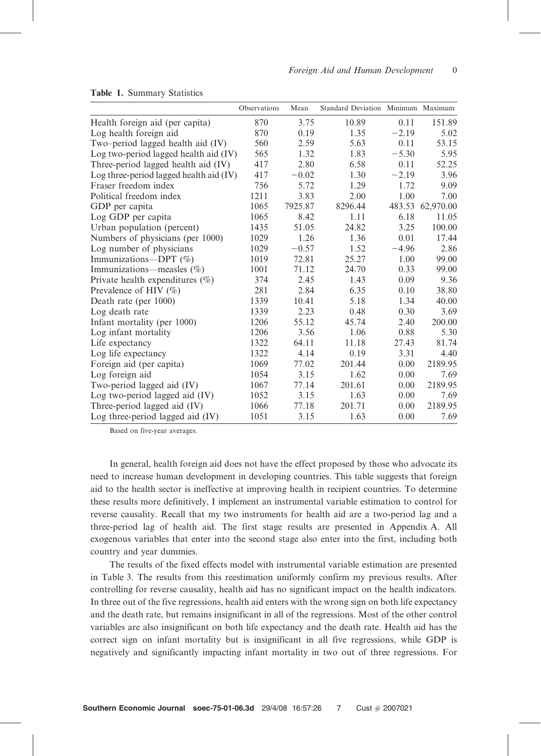|                                           | Observations | Mean    | Standard Deviation Minimum Maximum |         |           |
|-------------------------------------------|--------------|---------|------------------------------------|---------|-----------|
| Health foreign aid (per capita)           | 870          | 3.75    | 10.89                              | 0.11    | 151.89    |
| Log health foreign aid                    | 870          | 0.19    | 1.35                               | $-2.19$ | 5.02      |
| Two-period lagged health aid (IV)         | 560          | 2.59    | 5.63                               | 0.11    | 53.15     |
| Log two-period lagged health aid (IV)     | 565          | 1.32    | 1.83                               | $-5.30$ | 5.95      |
| Three-period lagged health aid (IV)       | 417          | 2.80    | 6.58                               | 0.11    | 52.25     |
| Log three-period lagged health aid $(IV)$ | 417          | $-0.02$ | 1.30                               | $-2.19$ | 3.96      |
| Fraser freedom index                      | 756          | 5.72    | 1.29                               | 1.72    | 9.09      |
| Political freedom index                   | 1211         | 3.83    | 2.00                               | 1.00    | 7.00      |
| GDP per capita                            | 1065         | 7925.87 | 8296.44                            | 483.53  | 62,970.00 |
| Log GDP per capita                        | 1065         | 8.42    | 1.11                               | 6.18    | 11.05     |
| Urban population (percent)                | 1435         | 51.05   | 24.82                              | 3.25    | 100.00    |
| Numbers of physicians (per 1000)          | 1029         | 1.26    | 1.36                               | 0.01    | 17.44     |
| Log number of physicians                  | 1029         | $-0.57$ | 1.52                               | $-4.96$ | 2.86      |
| Immunizations-DPT (%)                     | 1019         | 72.81   | 25.27                              | 1.00    | 99.00     |
| Immunizations—measles $(\%)$              | 1001         | 71.12   | 24.70                              | 0.33    | 99.00     |
| Private health expenditures $(\%)$        | 374          | 2.45    | 1.43                               | 0.09    | 9.36      |
| Prevalence of HIV $(\% )$                 | 281          | 2.84    | 6.35                               | 0.10    | 38.80     |
| Death rate (per 1000)                     | 1339         | 10.41   | 5.18                               | 1.34    | 40.00     |
| Log death rate                            | 1339         | 2.23    | 0.48                               | 0.30    | 3.69      |
| Infant mortality (per 1000)               | 1206         | 55.12   | 45.74                              | 2.40    | 200.00    |
| Log infant mortality                      | 1206         | 3.56    | 1.06                               | 0.88    | 5.30      |
| Life expectancy                           | 1322         | 64.11   | 11.18                              | 27.43   | 81.74     |
| Log life expectancy                       | 1322         | 4.14    | 0.19                               | 3.31    | 4.40      |
| Foreign aid (per capita)                  | 1069         | 77.02   | 201.44                             | 0.00    | 2189.95   |
| Log foreign aid                           | 1054         | 3.15    | 1.62                               | 0.00    | 7.69      |
| Two-period lagged aid (IV)                | 1067         | 77.14   | 201.61                             | 0.00    | 2189.95   |
| Log two-period lagged aid (IV)            | 1052         | 3.15    | 1.63                               | 0.00    | 7.69      |
| Three-period lagged aid (IV)              | 1066         | 77.18   | 201.71                             | 0.00    | 2189.95   |
| Log three-period lagged aid (IV)          | 1051         | 3.15    | 1.63                               | 0.00    | 7.69      |

#### Table 1. Summary Statistics

Based on five-year averages.

In general, health foreign aid does not have the effect proposed by those who advocate its need to increase human development in developing countries. This table suggests that foreign aid to the health sector is ineffective at improving health in recipient countries. To determine these results more definitively, I implement an instrumental variable estimation to control for reverse causality. Recall that my two instruments for health aid are a two-period lag and a three-period lag of health aid. The first stage results are presented in Appendix A. All exogenous variables that enter into the second stage also enter into the first, including both country and year dummies.

The results of the fixed effects model with instrumental variable estimation are presented in Table 3. The results from this reestimation uniformly confirm my previous results. After controlling for reverse causality, health aid has no significant impact on the health indicators. In three out of the five regressions, health aid enters with the wrong sign on both life expectancy and the death rate, but remains insignificant in all of the regressions. Most of the other control variables are also insignificant on both life expectancy and the death rate. Health aid has the correct sign on infant mortality but is insignificant in all five regressions, while GDP is negatively and significantly impacting infant mortality in two out of three regressions. For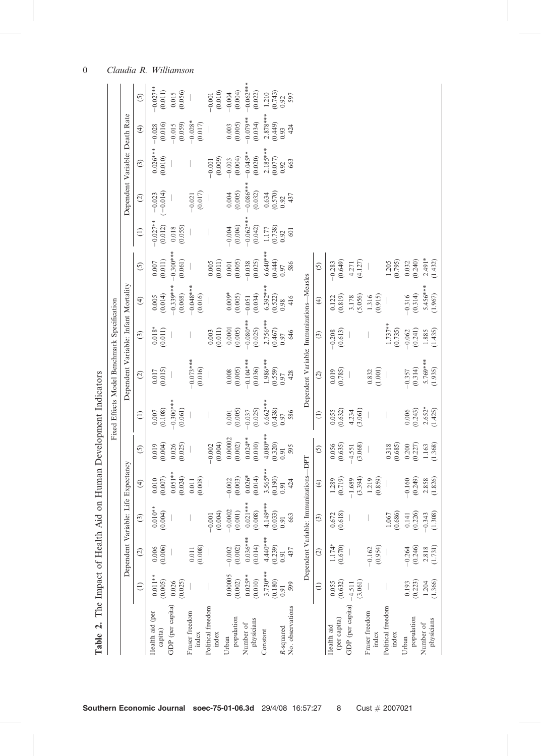| Dependent Variable: Death Rate<br>$-0.086***$<br>$(-0.014)$<br>$0.004$<br>$(0.005)$<br>(0.017)<br>(0.032)<br>(0.570)<br>0.634<br>$-0.023$<br>$-0.021$<br>437<br>$\odot$<br>0.92<br>$-0.062***$<br>$-0.027**$<br>(0.012)<br>$-0.004$<br>(0.004)<br>(0.055)<br>(0.042)<br>(0.738)<br>0.018<br>1.177<br>601<br>$\in$<br>0.92<br>$-0.300***$<br>$6.640***$<br>(0.011)<br>(0.061)<br>(0.001)<br>(0.025)<br>(0.444)<br>(0.649)<br>$1.205$<br>$(0.795)$<br>(0.011)<br>(4.127)<br>$0.005$<br>586<br>$-0.283$<br>$-0.038$<br>$0.007\,$<br>4.271<br>$\odot$<br>$\overline{5}$<br>0.97<br>Dependent Variable: Immunizations-Measles<br>Dependent Variable: Infant Mortality<br>$-0.339***$<br>$-0.048***$<br>$6.392***$<br>$0.009*$<br>(0.068)<br>(0.016)<br>(0.014)<br>(0.034)<br>(0.522)<br>(0.915)<br>(0.005)<br>(0.819)<br>(5.056)<br>1.316<br>416<br>0.005<br>3.178<br>0.122<br>$-0.051$<br>$\widehat{f}$<br>$\bigoplus$<br>Fixed Effects Model Benchmark Specification<br>0.98 |
|---------------------------------------------------------------------------------------------------------------------------------------------------------------------------------------------------------------------------------------------------------------------------------------------------------------------------------------------------------------------------------------------------------------------------------------------------------------------------------------------------------------------------------------------------------------------------------------------------------------------------------------------------------------------------------------------------------------------------------------------------------------------------------------------------------------------------------------------------------------------------------------------------------------------------------------------------------------------------|
|---------------------------------------------------------------------------------------------------------------------------------------------------------------------------------------------------------------------------------------------------------------------------------------------------------------------------------------------------------------------------------------------------------------------------------------------------------------------------------------------------------------------------------------------------------------------------------------------------------------------------------------------------------------------------------------------------------------------------------------------------------------------------------------------------------------------------------------------------------------------------------------------------------------------------------------------------------------------------|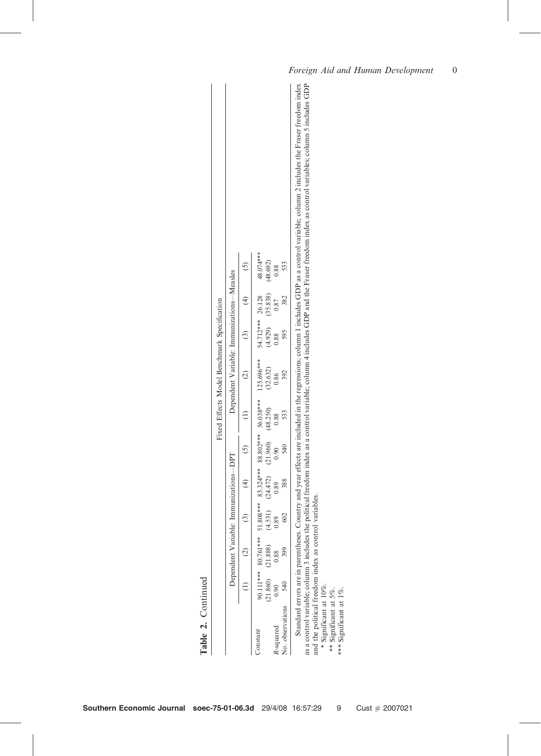|                                             |                                           |               |                                                                      | Country and year effects are included in the regressions; column 1 includes GDP as a control variable; column 2 includes the Fraser freedom in<br>as a control variable; column 3 includes the political freedom index as a control variable; column 4 includes GDP and the Fraser freedom index as control variables; column 5 includes G |
|---------------------------------------------|-------------------------------------------|---------------|----------------------------------------------------------------------|--------------------------------------------------------------------------------------------------------------------------------------------------------------------------------------------------------------------------------------------------------------------------------------------------------------------------------------------|
|                                             |                                           | $\odot$       | 48.074***<br>(48.692)<br>533<br>0.88                                 |                                                                                                                                                                                                                                                                                                                                            |
|                                             |                                           | $\widehat{f}$ | (35.838)<br>26.128<br>382<br>0.87                                    |                                                                                                                                                                                                                                                                                                                                            |
|                                             |                                           | $\odot$       | 54.712 ***<br>(4.929)<br>595<br>0.88                                 |                                                                                                                                                                                                                                                                                                                                            |
|                                             | Dependent Variable: Immunizations-Measles | $\odot$       | 125.696***<br>(32.632)<br>392<br>0.86                                |                                                                                                                                                                                                                                                                                                                                            |
| Fixed Effects Model Benchmark Specification |                                           | $\ominus$     | 56.038***<br>(48.250)<br>533<br>0.88                                 |                                                                                                                                                                                                                                                                                                                                            |
|                                             |                                           | $\odot$       | 88.802 ***<br>(21.960)<br>540<br>0.90                                |                                                                                                                                                                                                                                                                                                                                            |
|                                             | Dependent Variable: Immunizations-DPT     | $\bigoplus$   | 83.324 ***<br>(24.472)<br>388<br>0.89                                |                                                                                                                                                                                                                                                                                                                                            |
|                                             |                                           | $\odot$       | $***808**$<br>(4.531)<br>602<br>.89<br>5                             | variables.                                                                                                                                                                                                                                                                                                                                 |
|                                             |                                           | $\odot$       | 80.761***<br>$\begin{array}{c} (21.888) \\ 0.88 \\ 9.88 \end{array}$ |                                                                                                                                                                                                                                                                                                                                            |
|                                             |                                           | $\ominus$     | 90.111***<br>(21.860)<br>540<br>0.90                                 | Standard errors are in parentheses.                                                                                                                                                                                                                                                                                                        |
| Table 2. Continued                          |                                           |               | No. observations<br>R-squared<br>Constant                            | and the political freedom index as control<br>* Significant at 10%.<br>** Significant at 5%.<br>Significant at 1%.<br>***                                                                                                                                                                                                                  |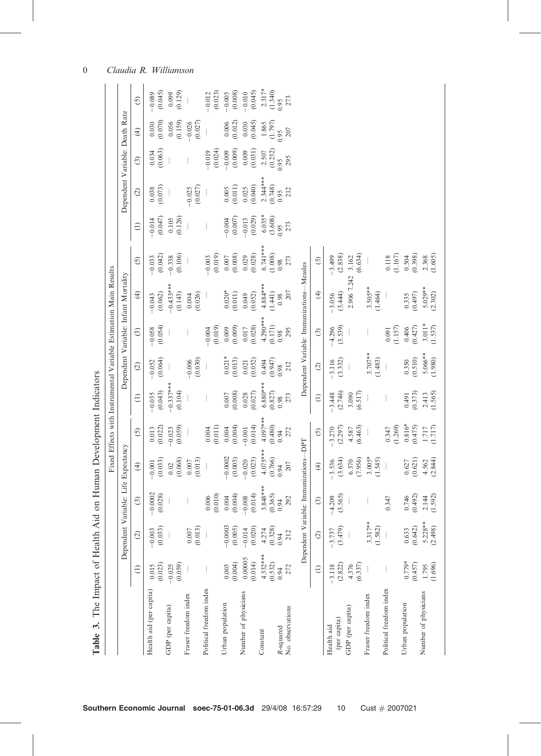|                               |                       |                        |                                             |                                       |                                                 |                        |                       |                       | Fixed Effects with Instrumental Variable Estimation Main Results |                       |                     |                                |                      |                     |                     |
|-------------------------------|-----------------------|------------------------|---------------------------------------------|---------------------------------------|-------------------------------------------------|------------------------|-----------------------|-----------------------|------------------------------------------------------------------|-----------------------|---------------------|--------------------------------|----------------------|---------------------|---------------------|
|                               |                       |                        |                                             | Dependent Variable: Life Expectancy   |                                                 |                        |                       |                       | Dependent Variable: Infant Mortality                             |                       |                     | Dependent Variable: Death Rate |                      |                     |                     |
|                               | $\in$                 | $\odot$                | $\odot$                                     | $\bigoplus$                           | $\odot$                                         | $\ominus$              | $\odot$               | $\odot$               | $\bigoplus$                                                      | $\overline{5}$        | $\widehat{E}$       | $\widehat{c}$                  | $\odot$              | $\widehat{f}$       | $\odot$             |
| Health aid (per capita)       | (0.023)<br>0.015      | (0.033)<br>$-0.003$    | 0.0002<br>0.028<br>$\bigcap$<br>$\tilde{ }$ | (0.033)<br>$-0.001$                   | (0.022)<br>0.013                                | (0.043)<br>$-0.035$    | (0.064)<br>$-0.052$   | (0.054)<br>$-0.058$   | (0.062)<br>$-0.043$                                              | (0.042)<br>$-0.033$   | (0.047)<br>$-0.014$ | (0.073)<br>0.038               | $0.034$<br>$(0.063)$ | (0.070)<br>0.030    | (0.045)<br>$-0.089$ |
| GDP (per capita)              | (0.059)<br>$-0.025$   |                        |                                             | (0.068)<br>0.02                       | (0.059)<br>$-0.023$                             | $-0.337***$<br>(0.104) |                       |                       | $-0.433***$<br>(0.143)                                           | (0.106)<br>$-0.338$   | (0.126)<br>0.105    |                                |                      | (0.159)<br>0.056    | (0.129)<br>0.099    |
| Fraser freedom index          |                       | (0.013)<br>$0.007$     |                                             | (0.013)<br>$0.007$                    |                                                 |                        | (0.030)<br>$-0.006$   |                       | (0.026)<br>0.004                                                 |                       |                     | (0.027)<br>$-0.025$            |                      | (0.027)<br>$-0.026$ |                     |
| Political freedom index       |                       |                        | (0.010)<br>0.006                            |                                       | (0.011)<br>0.004                                |                        |                       | (0.019)<br>$-0.004$   |                                                                  | (0.019)<br>$-0.003$   |                     |                                | (0.024)<br>$-0.019$  |                     | (0.023)<br>$-0.012$ |
| Urban population              | (0.004)<br>0.003      | $-0.0003$<br>(0.005)   | (0.004)<br>0.004                            | $-0.0002$<br>(0.005)                  | (0.004)<br>0.004                                | (0.008)<br>0.007       | $0.021*$<br>(0.013)   | (0.009)<br>0.009      | $0.020*$<br>(0.011)                                              | (0.008)<br>$0.007$    | (0.007)<br>$-0.004$ | (0.011)<br>$0.005$             | (0.009)<br>$-0.009$  | (0.012)<br>0.006    | (0.008)<br>$-0.005$ |
| Number of physicians          | 0.00005<br>(0.014)    | (0.020)<br>$-0.014$    | (0.014)<br>$-0.008$                         | (0.023)<br>$-0.020$                   | (0.014)<br>$-0.001$                             | (0.027)<br>0.028       | (0.052)<br>0.021      | (0.028)<br>0.017      | (0.052)<br>0.049                                                 | (0.028)<br>0.029      | (0.029)<br>$-0.013$ | (0.040)<br>0.025               | (0.031)<br>0.009     | (0.045)<br>0.030    | (0.045)<br>$-0.010$ |
| Constant                      | $4.332***$<br>(0.532) | (0.328)<br>4.274       | $3.848***$<br>(0.365)                       | $4.075***$<br>$(0.766)$               | $4.097***$                                      | $6.880***$<br>(0.827)  | (0.947)<br>0.494      | $4.290***$<br>(0.171) | 4.884 ***<br>(1.441)                                             | $6.741***$<br>(1.008) | $6.035*$<br>(3.608) | $2.344***$<br>(0.748)          | (0.232)<br>2.507     | $1.865$<br>(1.797)  | $2.317*$<br>(1.340) |
| No. observations<br>R-squared | 272<br>0.94           | 212<br>0.94            | 292<br>0.94                                 | 207<br>0.94                           | $^{(0.480)}_{0.94}$<br>272                      | 273<br>0.98            | 212<br>0.98           | 295<br>0.98           | 207<br>0.98                                                      | 273<br>0.98           | 273<br>0.95         | 212<br>0.95                    | 295<br>0.95          | $207\,$<br>0.95     | 273<br>0.95         |
|                               |                       |                        |                                             | Dependent Variable: Immunizations-DPT |                                                 |                        |                       |                       | Dependent Variable: Immunizations-Measles                        |                       |                     |                                |                      |                     |                     |
|                               | $\ominus$             | $\odot$                | $\odot$                                     | $\bigoplus$                           | $\odot$                                         | $\in$                  | $\odot$               | $\odot$               | $\widehat{f}$                                                    | $\odot$               |                     |                                |                      |                     |                     |
| (per capita)<br>Health aid    | (2.822)<br>$-3.118$   | (3.479)<br>$-3.737$    | (3.565)<br>1.209<br>Ţ                       | (3.634)<br>$-3.536$                   | (2.297)<br>$-3.270$                             | (2.746)<br>$-3.448$    | (3.332)<br>$-3.116$   | (3.539)<br>$-4.296$   | (3.444)<br>$-3.056$                                              | $-3.499$<br>(2.838)   |                     |                                |                      |                     |                     |
| GDP (per capita)              | (6.337)<br>4.376      |                        |                                             | (7.956)<br>6.370                      | (6.463)<br>4.587                                | (6.517)<br>3.090       |                       |                       | 2.906 7.242                                                      | (6.634)<br>3.162      |                     |                                |                      |                     |                     |
| Fraser freedom index          |                       | $3.317**$<br>(1.582)   |                                             | $3.005*$<br>(1.545)                   |                                                 |                        | $3.707***$<br>(1.483) |                       | $3.505**$<br>(1.464)                                             |                       |                     |                                |                      |                     |                     |
| Political freedom index       |                       |                        | .347                                        |                                       | (1.269)<br>0.347                                |                        |                       | (1.157)<br>0.091      |                                                                  | (1.167)<br>0.118      |                     |                                |                      |                     |                     |
| Urban population              | $0.779*$<br>(0.457)   | $(0.633)$<br>$(0.642)$ | (204)<br>0.746                              | (0.621)<br>0.627                      | $0.816*$<br>(0.475)                             | (0.373)<br>0.491       | (0.510)<br>0.350      | (0.406)               | (0.497)<br>0.335                                                 | (0.504)               |                     |                                |                      |                     |                     |
| Number of physicians          | 1.795<br>(1.696)      | $5.228**$<br>(2.498)   | (.592)<br>2.144                             | $4.562$<br>(2.844)                    | $\begin{array}{c} 1.717 \\ (1.717) \end{array}$ | $2.413$<br>(1.565)     | $5.066**$<br>(1.980)  | $3.011*$<br>(1.537)   | $5.029**$<br>(2.302)                                             | $2.368$<br>(1.605)    |                     |                                |                      |                     |                     |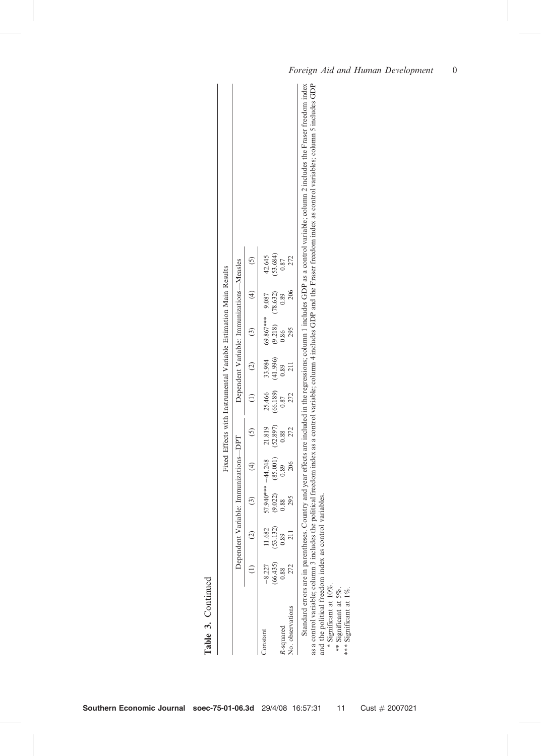| į<br>$\ddot{\phantom{a}}$<br>ć<br>ļ<br>$\sim$<br>!<br>in the state of<br>$\frac{1}{2}$<br>i<br>TTO PH<br>r.<br>$\alpha$ GDP $\alpha$<br>į<br>um<br>$\overline{\phantom{a}}$<br>l<br>١<br>í<br>חיים<br>i<br>i         |
|----------------------------------------------------------------------------------------------------------------------------------------------------------------------------------------------------------------------|
| q<br>וממור ממונו<br>in Ann an<br>$-22$<br>25.5<br>dow inder a<br>es GDP an<br>.<br>.<br>.<br>variable: column 4<br>am indav ar<br>portion trops<br>ś<br>and in the street<br>ì<br>j<br>a control wariahlar coll<br>ţ |
| i<br>l<br>$\sim$<br>raadom moor q<br>$\frac{1}{2}$<br>Š                                                                                                                                                              |
| $\frac{1}{2}$<br>:<br>;<br>;                                                                                                                                                                                         |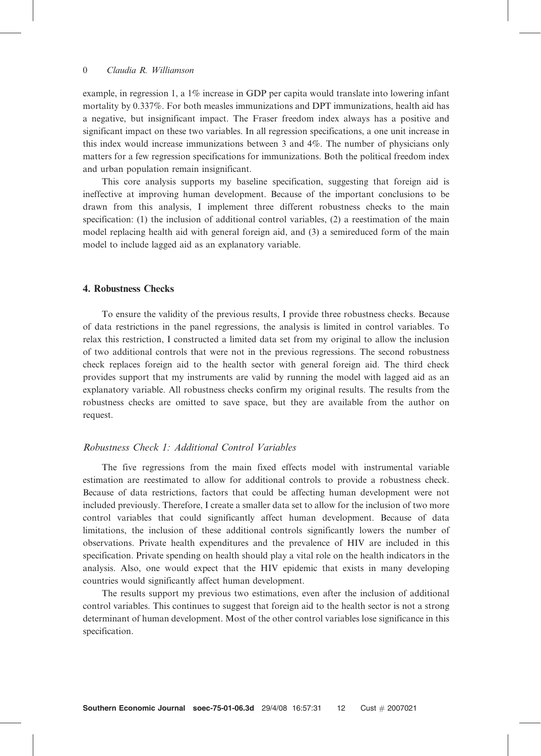example, in regression 1, a 1% increase in GDP per capita would translate into lowering infant mortality by 0.337%. For both measles immunizations and DPT immunizations, health aid has a negative, but insignificant impact. The Fraser freedom index always has a positive and significant impact on these two variables. In all regression specifications, a one unit increase in this index would increase immunizations between 3 and 4%. The number of physicians only matters for a few regression specifications for immunizations. Both the political freedom index and urban population remain insignificant.

This core analysis supports my baseline specification, suggesting that foreign aid is ineffective at improving human development. Because of the important conclusions to be drawn from this analysis, I implement three different robustness checks to the main specification: (1) the inclusion of additional control variables, (2) a reestimation of the main model replacing health aid with general foreign aid, and (3) a semireduced form of the main model to include lagged aid as an explanatory variable.

### 4. Robustness Checks

To ensure the validity of the previous results, I provide three robustness checks. Because of data restrictions in the panel regressions, the analysis is limited in control variables. To relax this restriction, I constructed a limited data set from my original to allow the inclusion of two additional controls that were not in the previous regressions. The second robustness check replaces foreign aid to the health sector with general foreign aid. The third check provides support that my instruments are valid by running the model with lagged aid as an explanatory variable. All robustness checks confirm my original results. The results from the robustness checks are omitted to save space, but they are available from the author on request.

## Robustness Check 1: Additional Control Variables

The five regressions from the main fixed effects model with instrumental variable estimation are reestimated to allow for additional controls to provide a robustness check. Because of data restrictions, factors that could be affecting human development were not included previously. Therefore, I create a smaller data set to allow for the inclusion of two more control variables that could significantly affect human development. Because of data limitations, the inclusion of these additional controls significantly lowers the number of observations. Private health expenditures and the prevalence of HIV are included in this specification. Private spending on health should play a vital role on the health indicators in the analysis. Also, one would expect that the HIV epidemic that exists in many developing countries would significantly affect human development.

The results support my previous two estimations, even after the inclusion of additional control variables. This continues to suggest that foreign aid to the health sector is not a strong determinant of human development. Most of the other control variables lose significance in this specification.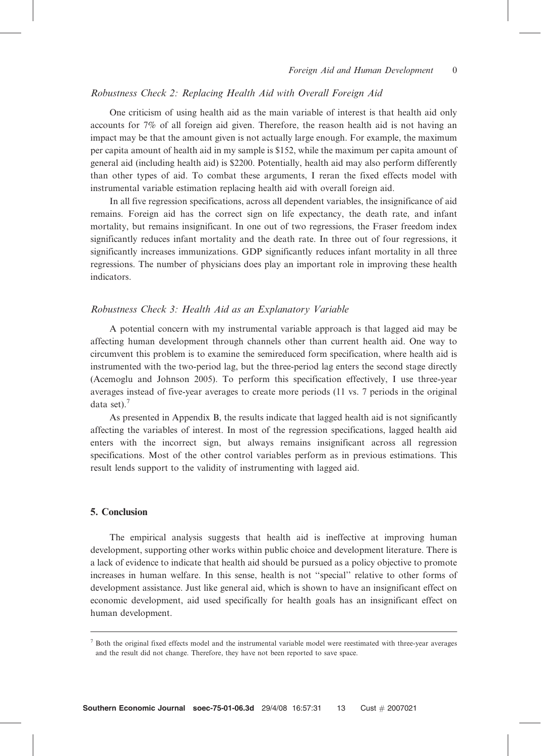#### Robustness Check 2: Replacing Health Aid with Overall Foreign Aid

One criticism of using health aid as the main variable of interest is that health aid only accounts for 7% of all foreign aid given. Therefore, the reason health aid is not having an impact may be that the amount given is not actually large enough. For example, the maximum per capita amount of health aid in my sample is \$152, while the maximum per capita amount of general aid (including health aid) is \$2200. Potentially, health aid may also perform differently than other types of aid. To combat these arguments, I reran the fixed effects model with instrumental variable estimation replacing health aid with overall foreign aid.

In all five regression specifications, across all dependent variables, the insignificance of aid remains. Foreign aid has the correct sign on life expectancy, the death rate, and infant mortality, but remains insignificant. In one out of two regressions, the Fraser freedom index significantly reduces infant mortality and the death rate. In three out of four regressions, it significantly increases immunizations. GDP significantly reduces infant mortality in all three regressions. The number of physicians does play an important role in improving these health indicators.

#### Robustness Check 3: Health Aid as an Explanatory Variable

A potential concern with my instrumental variable approach is that lagged aid may be affecting human development through channels other than current health aid. One way to circumvent this problem is to examine the semireduced form specification, where health aid is instrumented with the two-period lag, but the three-period lag enters the second stage directly (Acemoglu and Johnson 2005). To perform this specification effectively, I use three-year averages instead of five-year averages to create more periods (11 vs. 7 periods in the original data set). $7$ 

As presented in Appendix B, the results indicate that lagged health aid is not significantly affecting the variables of interest. In most of the regression specifications, lagged health aid enters with the incorrect sign, but always remains insignificant across all regression specifications. Most of the other control variables perform as in previous estimations. This result lends support to the validity of instrumenting with lagged aid.

#### 5. Conclusion

The empirical analysis suggests that health aid is ineffective at improving human development, supporting other works within public choice and development literature. There is a lack of evidence to indicate that health aid should be pursued as a policy objective to promote increases in human welfare. In this sense, health is not ''special'' relative to other forms of development assistance. Just like general aid, which is shown to have an insignificant effect on economic development, aid used specifically for health goals has an insignificant effect on human development.

<sup>7</sup> Both the original fixed effects model and the instrumental variable model were reestimated with three-year averages and the result did not change. Therefore, they have not been reported to save space.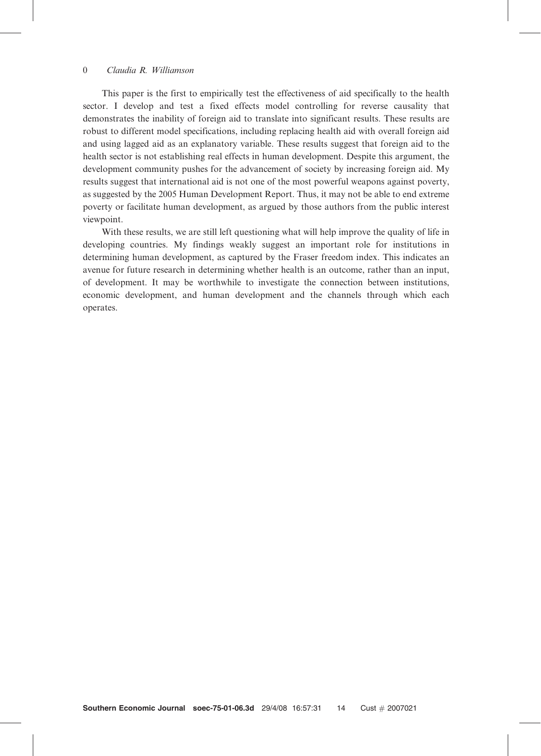This paper is the first to empirically test the effectiveness of aid specifically to the health sector. I develop and test a fixed effects model controlling for reverse causality that demonstrates the inability of foreign aid to translate into significant results. These results are robust to different model specifications, including replacing health aid with overall foreign aid and using lagged aid as an explanatory variable. These results suggest that foreign aid to the health sector is not establishing real effects in human development. Despite this argument, the development community pushes for the advancement of society by increasing foreign aid. My results suggest that international aid is not one of the most powerful weapons against poverty, as suggested by the 2005 Human Development Report. Thus, it may not be able to end extreme poverty or facilitate human development, as argued by those authors from the public interest viewpoint.

With these results, we are still left questioning what will help improve the quality of life in developing countries. My findings weakly suggest an important role for institutions in determining human development, as captured by the Fraser freedom index. This indicates an avenue for future research in determining whether health is an outcome, rather than an input, of development. It may be worthwhile to investigate the connection between institutions, economic development, and human development and the channels through which each operates.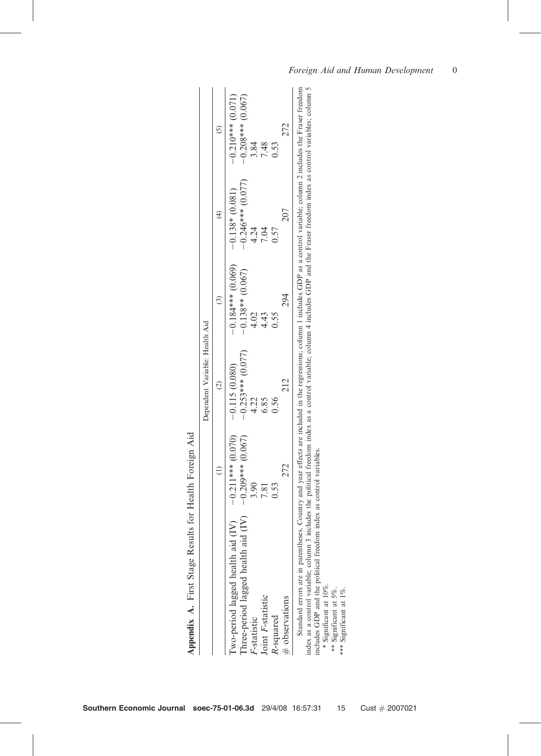|                                                        | $\overline{5}$ | $-0.208***$ (0.067)<br>$-0.210***$ (0.071)<br>272<br>3.84<br>7.48<br>0.53 |                                                                                                                                                                                                                                                                                                                                                                                                                                                                                                                     |
|--------------------------------------------------------|----------------|---------------------------------------------------------------------------|---------------------------------------------------------------------------------------------------------------------------------------------------------------------------------------------------------------------------------------------------------------------------------------------------------------------------------------------------------------------------------------------------------------------------------------------------------------------------------------------------------------------|
|                                                        | $\widehat{t}$  | $-0.246***$ (0.077)<br>$-0.138*(0.081)$<br>207<br>4.24<br>7.04<br>0.57    |                                                                                                                                                                                                                                                                                                                                                                                                                                                                                                                     |
|                                                        | $\odot$        | $-0.184***$ (0.069)<br>$-0.138**$ (0.067)<br>294<br>4.02<br>4.43<br>0.55  |                                                                                                                                                                                                                                                                                                                                                                                                                                                                                                                     |
| Dependent Variable: Health Aid                         | $\widehat{c}$  | $-0.253***$ (0.077)<br>$-0.115(0.080)$<br>212<br>6.85<br>4.22<br>0.56     |                                                                                                                                                                                                                                                                                                                                                                                                                                                                                                                     |
|                                                        | $\widehat{=}$  | $-0.211***$ (0.070)<br>-0.209*** (0.067)<br>272<br>3.90<br>0.53<br>7.81   |                                                                                                                                                                                                                                                                                                                                                                                                                                                                                                                     |
|                                                        |                | Three-period lagged health aid (IV)<br>I'wo-period lagged health aid (IV) | Standard errors are in parentheses. Country and year effects are included in the regressions; column 1 includes GDP as a control variable; column 2 includes the Fraser freedom<br>index as a control variable; column 3 includes the political freedom index as a control variable; column 4 includes GDP and the Fraser freedom index as control variables; column 5<br>includes GDP and the political freedom index as control variables.<br>$*$ Significant at 10%.<br>Significant at 5%.<br>Significant at 1%. |
| Appendix A. First Stage Results for Health Foreign Aid |                | Joint F-statistic<br>$#$ observations<br>R-squared<br>$F$ -statistic      | $\frac{*}{*}$<br>***                                                                                                                                                                                                                                                                                                                                                                                                                                                                                                |

| <b>SPACE CREW</b><br>)<br>I<br>ľ<br>l<br>ļ         |
|----------------------------------------------------|
|                                                    |
| ∶                                                  |
| l<br>ı<br>Ć                                        |
| i<br>S<br>í<br>J<br>l                              |
| $\frac{1}{2}$                                      |
| ֧֧֧֧֧֧֧֪֧֚֚֚֚֚֚֚֚֚֚֚֚֚֚֚֚֚֚֚֚֚֚֚֚֚֚֚֚֡֬֡֡֬֓֓֓֝֬֓֡֬ |
| ֠                                                  |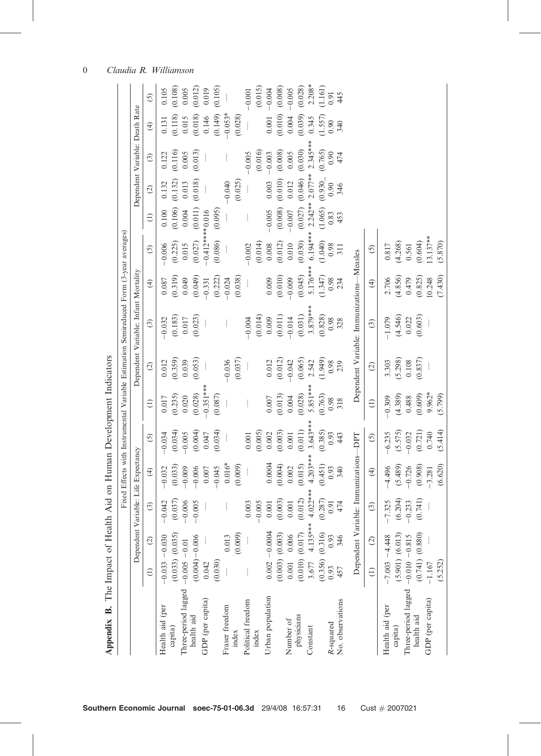|                     |                  |                     |                                        |               |            |                    |               | Fixed Effects with Instrumental Variable Estimation Semireduced Form (3-year averages) |             |                |                  |           |                                |                   |                       |
|---------------------|------------------|---------------------|----------------------------------------|---------------|------------|--------------------|---------------|----------------------------------------------------------------------------------------|-------------|----------------|------------------|-----------|--------------------------------|-------------------|-----------------------|
|                     |                  |                     | Dependent Variable: Life Expectancy    |               |            |                    |               | Dependent Variable: Infant Mortality                                                   |             |                |                  |           | Dependent Variable: Death Rate |                   |                       |
|                     | $\ominus$        | $\widehat{c}$       | $\odot$                                | $\widehat{f}$ | $\odot$    | $\widehat{\Xi}$    | $\widehat{c}$ | $\odot$                                                                                | $\bigoplus$ | $\overline{5}$ | $\ominus$        | $\odot$   | $\odot$                        | $\widehat{f}$     | $\odot$               |
| Health aid (per     |                  | $-0.033 - 0.030$    | <b>CHO</b><br>$\overline{\phantom{0}}$ | $-0.032$      | $-0.034$   | 0.017              | 0.012         | $-0.032$                                                                               | 0.087       | $-0.006$       | 0.100            | 0.132     | 0.122                          | 0.131             | 0.105                 |
| capita)             |                  | $(0.033)$ $(0.035)$ | (37)<br>$\circ$                        | (0.033)       | (0.034)    | (0.235)            | (0.359)       | (0.183)                                                                                | (0.319)     | (0.225)        | (0.106)          | (0.132)   | (0.116)                        | (0.118)           | (0.108)               |
| Three-period lagged | $-0.005 - 0.01$  |                     | 006<br>$\overline{\phantom{0}}$        | $-0.009$      | $-0.005$   | 0.020              | 0.039         | 0.017                                                                                  | 0.049       | 0.015          | 0.004            | 0.013     | 0.005                          | 0.015             | 0.005                 |
| health aid          |                  | $(0.004) - 0.006$   | 005<br>$\overline{\phantom{0}}$        | $-0.006$      | (0.004)    | (0.028)            | (0.053)       | (0.023)                                                                                | (0.049)     | (0.027)        | (0.011)          | (0.018)   | (0.013)                        | (0.018)           | (0.012)               |
| GDP (per capita)    | 0.042            |                     |                                        | $0.007\,$     | 0.047      | $0.351***$         |               |                                                                                        | $-0.331$    |                | $-0.412***0.016$ |           |                                | 0.146             | 0.019                 |
|                     | (0.030)          |                     |                                        | $-0.045$      | (0.034)    | (0.087)            |               |                                                                                        | (0.222)     | (0.086)        | (0.095)          |           |                                | (0.149)           | (0.105)               |
| Fraser freedom      |                  | 0.013               |                                        | $0.016*$      |            |                    | $-0.036$      |                                                                                        | $-0.024$    |                |                  | $-0.040$  |                                | $-0.053*$         |                       |
| index               |                  | (0.009)             |                                        | (0.009)       |            |                    | (0.037)       |                                                                                        | (0.038)     |                |                  | (0.025)   |                                | (0.028)           |                       |
| Political freedom   |                  |                     | .003                                   |               | 0.001      |                    |               | $-0.004$                                                                               |             | $-0.002$       |                  |           | $-0.005$                       |                   | $-0.001$              |
| index               |                  |                     | $-0.005$                               |               | (0.005)    |                    |               | (0.014)                                                                                |             | (0.014)        |                  |           | (0.016)                        |                   | (0.015)               |
| Urban population    |                  | $0.002 - 0.0004$    | $0.001\,$                              | 0.0004        | $0.002\,$  | $0.007$            | 0.012         | 0.009                                                                                  | 0.009       | $0.008\,$      | $-0.005$         | $0.003\,$ | $-0.003$                       | $0.001$           | $-0.004$              |
|                     |                  | $(0.003)$ $(0.003)$ | (003)<br>S.                            | (0.004)       | (0.003)    | $(0.013)$<br>0.004 | (0.012)       | (0.011)                                                                                | (0.010)     | (0.012)        | (0.008)          | (0.010)   | (0.008)                        | (0.010)           | $(0.008)$<br>$-0.005$ |
| Number of           | $0.001\,$        | $0.006\,$           | $\overline{0}$<br>$\circ$              | $0.002\,$     | $0.001\,$  |                    | $-0.042$      | $-0.014$                                                                               | $-0.009$    | 0.010          | $-0.007$         | 0.012     | 0.005                          | $0.004$           |                       |
| physicians          |                  | (0.010) (0.017)     | (0.012)                                | (0.015)       | $(0.011)$  | (0.028)            | (0.065)       | (0.031)                                                                                | (0.045)     | (0.030)        | $(0.027)$        | (0.046)   | (0.030)                        | (0.039)           | (0.028)               |
| Constant            | 3.677            | $4.135***$          | $4.022***$                             | $4.203**$     | $3.643***$ | 5.851***           | 2.542         | $3.879***$                                                                             | 5.176***    | 6.194**        | $2.242**$        | $2.077**$ | $2.345***$                     | 0.345             | $2.208*$              |
|                     |                  | $(0.356)$ $(0.316)$ | (0.287)                                | (0.451)       | (0.385)    | (0.763)            | (1.949)       | (0.828)                                                                                | (1.347)     | (1.040)        | (1.065)          | (0.930)   | (0.765)                        | $(1.557)$<br>0.90 | $(1.161)$<br>0.91     |
| R-squared           | 0.93             | 0.93                | 0.91                                   | 0.93          | 0.93       | 0.98               | 0.98          | 0.98                                                                                   | 0.98        | 0.98           | 0.83             | 0.90      | 0.90                           |                   |                       |
| No. observations    | 457              | 346                 | 474                                    | 340           | 43         | 318                | 239           | 328                                                                                    | 234         | 311            | 453              | 346       | 474                            | 340               | 445                   |
|                     |                  |                     | Dependent Variable: Immunizations-DPT  |               |            |                    |               | Dependent Variable: Immunizations-Measles                                              |             |                |                  |           |                                |                   |                       |
|                     | $\ominus$        | $\odot$             | $\widehat{c}$                          | $\bigoplus$   | $\odot$    | $\bigoplus$        | $\odot$       | $\odot$                                                                                | $\bigoplus$ | <u>ර</u>       |                  |           |                                |                   |                       |
| Health aid (per     |                  | $-7.003 - 4.448$    | $-7.325$                               | $-4.496$      | $-6.235$   | $-0.309$           | 3.303         | $-1.079$                                                                               | 2.706       | 0.817          |                  |           |                                |                   |                       |
| capita)             |                  | $(5.901)$ $(6.013)$ | .204)<br>$\hat{\epsilon}$              | (5.489)       | (5.575)    |                    | (5.298)       | (4.546)                                                                                | (4.856)     | (4.268)        |                  |           |                                |                   |                       |
| Three-period lagged | $-0.010 - 0.815$ |                     | 233<br>ှင                              | $-0.726$      | $-0.032$   | $(4.389)$<br>0.488 | 0.108         | 0.022                                                                                  | 0.479       | 0.561          |                  |           |                                |                   |                       |
| health aid          |                  | $(0.741)$ $(0.880)$ | 741)<br>$\circ$                        | (0.908)       | (0.721)    | (0.609)            | (0.837)       | (0.603)                                                                                | (0.825)     | (0.604)        |                  |           |                                |                   |                       |
| GDP (per capita)    | $-1.167$         |                     |                                        | $-3.281$      | 0.740      | 9.962*             |               |                                                                                        | 10.248      | $13.137***$    |                  |           |                                |                   |                       |
|                     | (5.252)          |                     |                                        | (6.620)       | (5.414)    | (5.799)            |               |                                                                                        | (7.430)     | (5.870)        |                  |           |                                |                   |                       |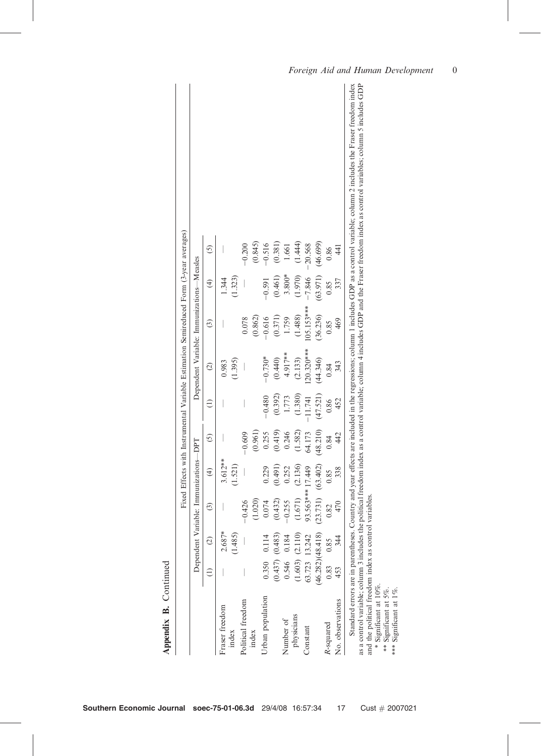| (44.346)                                                      | (36.236)                                                | (63.971)                                | (46.699)                                                               |                                                      |
|---------------------------------------------------------------|---------------------------------------------------------|-----------------------------------------|------------------------------------------------------------------------|------------------------------------------------------|
|                                                               |                                                         |                                         |                                                                        |                                                      |
|                                                               | 0.85                                                    | 0.85                                    | 0.86                                                                   |                                                      |
|                                                               |                                                         |                                         |                                                                        |                                                      |
|                                                               |                                                         |                                         |                                                                        |                                                      |
| (1.380)<br>(0.392)<br>(47.521)<br>1.773<br>$-0.480$<br>11.741 | 20.320***<br>4.917**<br>$-0.730*$<br>(0.440)<br>(2.133) | (1.488)<br>(0.371)<br>$-0.616$<br>1.759 | $3.800*$<br>(1.970)<br>(0.461)<br>$-7.846$<br>$-0.591$<br>$105.153***$ | (1.444)<br>(0.381)<br>$-0.516$<br>$-20.568$<br>1.661 |

| p |
|---|
|   |

Foreign Aid and Human Development 0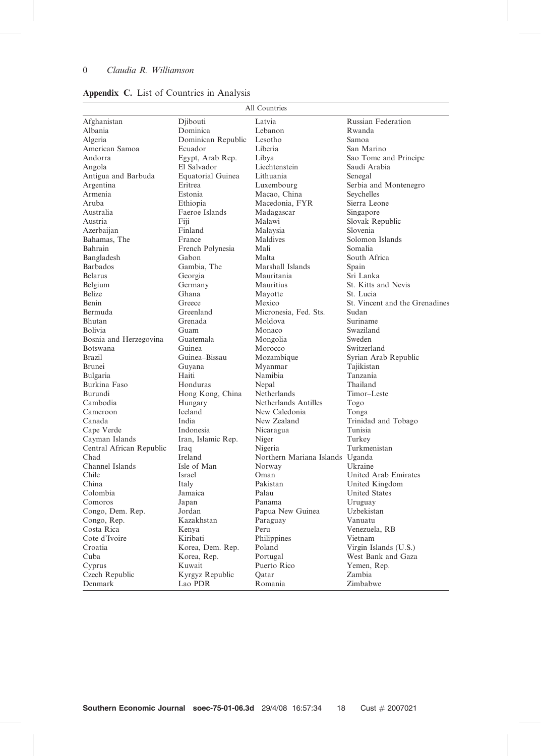| Afghanistan<br>Djibouti<br>Latvia<br><b>Russian Federation</b><br>Albania<br>Dominica<br>Lebanon<br>Rwanda<br>Algeria<br>Dominican Republic<br>Lesotho<br>Samoa<br>American Samoa<br>Ecuador<br>Liberia<br>San Marino<br>Sao Tome and Principe<br>Andorra<br>Egypt, Arab Rep.<br>Libya<br>Liechtenstein<br>El Salvador<br>Saudi Arabia<br>Angola<br>Equatorial Guinea<br>Lithuania<br>Antigua and Barbuda<br>Senegal<br>Argentina<br>Eritrea<br>Luxembourg<br>Serbia and Montenegro<br>Armenia<br>Estonia<br>Macao, China<br>Seychelles<br>Aruba<br>Ethiopia<br>Macedonia, FYR<br>Sierra Leone<br>Australia<br>Faeroe Islands<br>Madagascar<br>Singapore<br>Malawi<br>Slovak Republic<br>Austria<br>Fiji<br>Azerbaijan<br>Finland<br>Slovenia<br>Malaysia<br>Solomon Islands<br>Bahamas, The<br>Maldives<br>France<br>French Polynesia<br>Mali<br>Somalia<br>Bahrain<br>South Africa<br>Bangladesh<br>Gabon<br>Malta<br>Barbados<br>Gambia, The<br>Marshall Islands<br>Spain<br>Mauritania<br>Sri Lanka<br><b>Belarus</b><br>Georgia<br>Germany<br>Mauritius<br>St. Kitts and Nevis<br>Belgium<br><b>Belize</b><br>Ghana<br>St. Lucia<br>Mayotte<br>Greece<br><b>Benin</b><br>Mexico<br>St. Vincent and the Grenadines<br>Greenland<br>Micronesia, Fed. Sts.<br>Sudan<br>Bermuda<br>Grenada<br>Suriname<br>Bhutan<br>Moldova<br><b>Bolivia</b><br>Guam<br>Swaziland<br>Monaco<br>Bosnia and Herzegovina<br>Guatemala<br>Mongolia<br>Sweden<br>Guinea<br>Morocco<br>Switzerland<br><b>Botswana</b><br>Guinea-Bissau<br>Syrian Arab Republic<br><b>Brazil</b><br>Mozambique<br>Brunei<br>Guyana<br>Myanmar<br>Tajikistan<br>Bulgaria<br>Haiti<br>Namibia<br>Tanzania<br>Burkina Faso<br>Honduras<br>Thailand<br>Nepal<br>Burundi<br>Hong Kong, China<br>Netherlands<br>Timor-Leste<br>Netherlands Antilles<br>Cambodia<br>Hungary<br>Togo<br>Iceland<br>New Caledonia<br>Cameroon<br>Tonga<br>India<br>New Zealand<br>Trinidad and Tobago<br>Canada<br>Indonesia<br>Cape Verde<br>Nicaragua<br>Tunisia<br>Iran, Islamic Rep.<br>Niger<br>Turkey<br>Cayman Islands<br>Turkmenistan<br>Central African Republic<br>Nigeria<br>Iraq |
|--------------------------------------------------------------------------------------------------------------------------------------------------------------------------------------------------------------------------------------------------------------------------------------------------------------------------------------------------------------------------------------------------------------------------------------------------------------------------------------------------------------------------------------------------------------------------------------------------------------------------------------------------------------------------------------------------------------------------------------------------------------------------------------------------------------------------------------------------------------------------------------------------------------------------------------------------------------------------------------------------------------------------------------------------------------------------------------------------------------------------------------------------------------------------------------------------------------------------------------------------------------------------------------------------------------------------------------------------------------------------------------------------------------------------------------------------------------------------------------------------------------------------------------------------------------------------------------------------------------------------------------------------------------------------------------------------------------------------------------------------------------------------------------------------------------------------------------------------------------------------------------------------------------------------------------------------------------------------------------------------------------------------------------------------------------------------------------------------------------------------------|
|                                                                                                                                                                                                                                                                                                                                                                                                                                                                                                                                                                                                                                                                                                                                                                                                                                                                                                                                                                                                                                                                                                                                                                                                                                                                                                                                                                                                                                                                                                                                                                                                                                                                                                                                                                                                                                                                                                                                                                                                                                                                                                                                |
|                                                                                                                                                                                                                                                                                                                                                                                                                                                                                                                                                                                                                                                                                                                                                                                                                                                                                                                                                                                                                                                                                                                                                                                                                                                                                                                                                                                                                                                                                                                                                                                                                                                                                                                                                                                                                                                                                                                                                                                                                                                                                                                                |
|                                                                                                                                                                                                                                                                                                                                                                                                                                                                                                                                                                                                                                                                                                                                                                                                                                                                                                                                                                                                                                                                                                                                                                                                                                                                                                                                                                                                                                                                                                                                                                                                                                                                                                                                                                                                                                                                                                                                                                                                                                                                                                                                |
|                                                                                                                                                                                                                                                                                                                                                                                                                                                                                                                                                                                                                                                                                                                                                                                                                                                                                                                                                                                                                                                                                                                                                                                                                                                                                                                                                                                                                                                                                                                                                                                                                                                                                                                                                                                                                                                                                                                                                                                                                                                                                                                                |
|                                                                                                                                                                                                                                                                                                                                                                                                                                                                                                                                                                                                                                                                                                                                                                                                                                                                                                                                                                                                                                                                                                                                                                                                                                                                                                                                                                                                                                                                                                                                                                                                                                                                                                                                                                                                                                                                                                                                                                                                                                                                                                                                |
|                                                                                                                                                                                                                                                                                                                                                                                                                                                                                                                                                                                                                                                                                                                                                                                                                                                                                                                                                                                                                                                                                                                                                                                                                                                                                                                                                                                                                                                                                                                                                                                                                                                                                                                                                                                                                                                                                                                                                                                                                                                                                                                                |
|                                                                                                                                                                                                                                                                                                                                                                                                                                                                                                                                                                                                                                                                                                                                                                                                                                                                                                                                                                                                                                                                                                                                                                                                                                                                                                                                                                                                                                                                                                                                                                                                                                                                                                                                                                                                                                                                                                                                                                                                                                                                                                                                |
|                                                                                                                                                                                                                                                                                                                                                                                                                                                                                                                                                                                                                                                                                                                                                                                                                                                                                                                                                                                                                                                                                                                                                                                                                                                                                                                                                                                                                                                                                                                                                                                                                                                                                                                                                                                                                                                                                                                                                                                                                                                                                                                                |
|                                                                                                                                                                                                                                                                                                                                                                                                                                                                                                                                                                                                                                                                                                                                                                                                                                                                                                                                                                                                                                                                                                                                                                                                                                                                                                                                                                                                                                                                                                                                                                                                                                                                                                                                                                                                                                                                                                                                                                                                                                                                                                                                |
|                                                                                                                                                                                                                                                                                                                                                                                                                                                                                                                                                                                                                                                                                                                                                                                                                                                                                                                                                                                                                                                                                                                                                                                                                                                                                                                                                                                                                                                                                                                                                                                                                                                                                                                                                                                                                                                                                                                                                                                                                                                                                                                                |
|                                                                                                                                                                                                                                                                                                                                                                                                                                                                                                                                                                                                                                                                                                                                                                                                                                                                                                                                                                                                                                                                                                                                                                                                                                                                                                                                                                                                                                                                                                                                                                                                                                                                                                                                                                                                                                                                                                                                                                                                                                                                                                                                |
|                                                                                                                                                                                                                                                                                                                                                                                                                                                                                                                                                                                                                                                                                                                                                                                                                                                                                                                                                                                                                                                                                                                                                                                                                                                                                                                                                                                                                                                                                                                                                                                                                                                                                                                                                                                                                                                                                                                                                                                                                                                                                                                                |
|                                                                                                                                                                                                                                                                                                                                                                                                                                                                                                                                                                                                                                                                                                                                                                                                                                                                                                                                                                                                                                                                                                                                                                                                                                                                                                                                                                                                                                                                                                                                                                                                                                                                                                                                                                                                                                                                                                                                                                                                                                                                                                                                |
|                                                                                                                                                                                                                                                                                                                                                                                                                                                                                                                                                                                                                                                                                                                                                                                                                                                                                                                                                                                                                                                                                                                                                                                                                                                                                                                                                                                                                                                                                                                                                                                                                                                                                                                                                                                                                                                                                                                                                                                                                                                                                                                                |
|                                                                                                                                                                                                                                                                                                                                                                                                                                                                                                                                                                                                                                                                                                                                                                                                                                                                                                                                                                                                                                                                                                                                                                                                                                                                                                                                                                                                                                                                                                                                                                                                                                                                                                                                                                                                                                                                                                                                                                                                                                                                                                                                |
|                                                                                                                                                                                                                                                                                                                                                                                                                                                                                                                                                                                                                                                                                                                                                                                                                                                                                                                                                                                                                                                                                                                                                                                                                                                                                                                                                                                                                                                                                                                                                                                                                                                                                                                                                                                                                                                                                                                                                                                                                                                                                                                                |
|                                                                                                                                                                                                                                                                                                                                                                                                                                                                                                                                                                                                                                                                                                                                                                                                                                                                                                                                                                                                                                                                                                                                                                                                                                                                                                                                                                                                                                                                                                                                                                                                                                                                                                                                                                                                                                                                                                                                                                                                                                                                                                                                |
|                                                                                                                                                                                                                                                                                                                                                                                                                                                                                                                                                                                                                                                                                                                                                                                                                                                                                                                                                                                                                                                                                                                                                                                                                                                                                                                                                                                                                                                                                                                                                                                                                                                                                                                                                                                                                                                                                                                                                                                                                                                                                                                                |
|                                                                                                                                                                                                                                                                                                                                                                                                                                                                                                                                                                                                                                                                                                                                                                                                                                                                                                                                                                                                                                                                                                                                                                                                                                                                                                                                                                                                                                                                                                                                                                                                                                                                                                                                                                                                                                                                                                                                                                                                                                                                                                                                |
|                                                                                                                                                                                                                                                                                                                                                                                                                                                                                                                                                                                                                                                                                                                                                                                                                                                                                                                                                                                                                                                                                                                                                                                                                                                                                                                                                                                                                                                                                                                                                                                                                                                                                                                                                                                                                                                                                                                                                                                                                                                                                                                                |
|                                                                                                                                                                                                                                                                                                                                                                                                                                                                                                                                                                                                                                                                                                                                                                                                                                                                                                                                                                                                                                                                                                                                                                                                                                                                                                                                                                                                                                                                                                                                                                                                                                                                                                                                                                                                                                                                                                                                                                                                                                                                                                                                |
|                                                                                                                                                                                                                                                                                                                                                                                                                                                                                                                                                                                                                                                                                                                                                                                                                                                                                                                                                                                                                                                                                                                                                                                                                                                                                                                                                                                                                                                                                                                                                                                                                                                                                                                                                                                                                                                                                                                                                                                                                                                                                                                                |
|                                                                                                                                                                                                                                                                                                                                                                                                                                                                                                                                                                                                                                                                                                                                                                                                                                                                                                                                                                                                                                                                                                                                                                                                                                                                                                                                                                                                                                                                                                                                                                                                                                                                                                                                                                                                                                                                                                                                                                                                                                                                                                                                |
|                                                                                                                                                                                                                                                                                                                                                                                                                                                                                                                                                                                                                                                                                                                                                                                                                                                                                                                                                                                                                                                                                                                                                                                                                                                                                                                                                                                                                                                                                                                                                                                                                                                                                                                                                                                                                                                                                                                                                                                                                                                                                                                                |
|                                                                                                                                                                                                                                                                                                                                                                                                                                                                                                                                                                                                                                                                                                                                                                                                                                                                                                                                                                                                                                                                                                                                                                                                                                                                                                                                                                                                                                                                                                                                                                                                                                                                                                                                                                                                                                                                                                                                                                                                                                                                                                                                |
|                                                                                                                                                                                                                                                                                                                                                                                                                                                                                                                                                                                                                                                                                                                                                                                                                                                                                                                                                                                                                                                                                                                                                                                                                                                                                                                                                                                                                                                                                                                                                                                                                                                                                                                                                                                                                                                                                                                                                                                                                                                                                                                                |
|                                                                                                                                                                                                                                                                                                                                                                                                                                                                                                                                                                                                                                                                                                                                                                                                                                                                                                                                                                                                                                                                                                                                                                                                                                                                                                                                                                                                                                                                                                                                                                                                                                                                                                                                                                                                                                                                                                                                                                                                                                                                                                                                |
|                                                                                                                                                                                                                                                                                                                                                                                                                                                                                                                                                                                                                                                                                                                                                                                                                                                                                                                                                                                                                                                                                                                                                                                                                                                                                                                                                                                                                                                                                                                                                                                                                                                                                                                                                                                                                                                                                                                                                                                                                                                                                                                                |
|                                                                                                                                                                                                                                                                                                                                                                                                                                                                                                                                                                                                                                                                                                                                                                                                                                                                                                                                                                                                                                                                                                                                                                                                                                                                                                                                                                                                                                                                                                                                                                                                                                                                                                                                                                                                                                                                                                                                                                                                                                                                                                                                |
|                                                                                                                                                                                                                                                                                                                                                                                                                                                                                                                                                                                                                                                                                                                                                                                                                                                                                                                                                                                                                                                                                                                                                                                                                                                                                                                                                                                                                                                                                                                                                                                                                                                                                                                                                                                                                                                                                                                                                                                                                                                                                                                                |
|                                                                                                                                                                                                                                                                                                                                                                                                                                                                                                                                                                                                                                                                                                                                                                                                                                                                                                                                                                                                                                                                                                                                                                                                                                                                                                                                                                                                                                                                                                                                                                                                                                                                                                                                                                                                                                                                                                                                                                                                                                                                                                                                |
|                                                                                                                                                                                                                                                                                                                                                                                                                                                                                                                                                                                                                                                                                                                                                                                                                                                                                                                                                                                                                                                                                                                                                                                                                                                                                                                                                                                                                                                                                                                                                                                                                                                                                                                                                                                                                                                                                                                                                                                                                                                                                                                                |
|                                                                                                                                                                                                                                                                                                                                                                                                                                                                                                                                                                                                                                                                                                                                                                                                                                                                                                                                                                                                                                                                                                                                                                                                                                                                                                                                                                                                                                                                                                                                                                                                                                                                                                                                                                                                                                                                                                                                                                                                                                                                                                                                |
|                                                                                                                                                                                                                                                                                                                                                                                                                                                                                                                                                                                                                                                                                                                                                                                                                                                                                                                                                                                                                                                                                                                                                                                                                                                                                                                                                                                                                                                                                                                                                                                                                                                                                                                                                                                                                                                                                                                                                                                                                                                                                                                                |
|                                                                                                                                                                                                                                                                                                                                                                                                                                                                                                                                                                                                                                                                                                                                                                                                                                                                                                                                                                                                                                                                                                                                                                                                                                                                                                                                                                                                                                                                                                                                                                                                                                                                                                                                                                                                                                                                                                                                                                                                                                                                                                                                |
|                                                                                                                                                                                                                                                                                                                                                                                                                                                                                                                                                                                                                                                                                                                                                                                                                                                                                                                                                                                                                                                                                                                                                                                                                                                                                                                                                                                                                                                                                                                                                                                                                                                                                                                                                                                                                                                                                                                                                                                                                                                                                                                                |
|                                                                                                                                                                                                                                                                                                                                                                                                                                                                                                                                                                                                                                                                                                                                                                                                                                                                                                                                                                                                                                                                                                                                                                                                                                                                                                                                                                                                                                                                                                                                                                                                                                                                                                                                                                                                                                                                                                                                                                                                                                                                                                                                |
| Northern Mariana Islands Uganda<br>Ireland<br>Chad                                                                                                                                                                                                                                                                                                                                                                                                                                                                                                                                                                                                                                                                                                                                                                                                                                                                                                                                                                                                                                                                                                                                                                                                                                                                                                                                                                                                                                                                                                                                                                                                                                                                                                                                                                                                                                                                                                                                                                                                                                                                             |
| Channel Islands<br>Isle of Man<br>Norway<br>Ukraine                                                                                                                                                                                                                                                                                                                                                                                                                                                                                                                                                                                                                                                                                                                                                                                                                                                                                                                                                                                                                                                                                                                                                                                                                                                                                                                                                                                                                                                                                                                                                                                                                                                                                                                                                                                                                                                                                                                                                                                                                                                                            |
| Chile<br>United Arab Emirates<br>Israel<br>Oman                                                                                                                                                                                                                                                                                                                                                                                                                                                                                                                                                                                                                                                                                                                                                                                                                                                                                                                                                                                                                                                                                                                                                                                                                                                                                                                                                                                                                                                                                                                                                                                                                                                                                                                                                                                                                                                                                                                                                                                                                                                                                |
| China<br>Pakistan<br>United Kingdom<br>Italy                                                                                                                                                                                                                                                                                                                                                                                                                                                                                                                                                                                                                                                                                                                                                                                                                                                                                                                                                                                                                                                                                                                                                                                                                                                                                                                                                                                                                                                                                                                                                                                                                                                                                                                                                                                                                                                                                                                                                                                                                                                                                   |
| Colombia<br>Palau<br><b>United States</b><br>Jamaica                                                                                                                                                                                                                                                                                                                                                                                                                                                                                                                                                                                                                                                                                                                                                                                                                                                                                                                                                                                                                                                                                                                                                                                                                                                                                                                                                                                                                                                                                                                                                                                                                                                                                                                                                                                                                                                                                                                                                                                                                                                                           |
| Comoros<br>Panama<br>Japan<br>Uruguay                                                                                                                                                                                                                                                                                                                                                                                                                                                                                                                                                                                                                                                                                                                                                                                                                                                                                                                                                                                                                                                                                                                                                                                                                                                                                                                                                                                                                                                                                                                                                                                                                                                                                                                                                                                                                                                                                                                                                                                                                                                                                          |
| Papua New Guinea<br>Congo, Dem. Rep.<br>Jordan<br>Uzbekistan                                                                                                                                                                                                                                                                                                                                                                                                                                                                                                                                                                                                                                                                                                                                                                                                                                                                                                                                                                                                                                                                                                                                                                                                                                                                                                                                                                                                                                                                                                                                                                                                                                                                                                                                                                                                                                                                                                                                                                                                                                                                   |
| Congo, Rep.<br>Kazakhstan<br>Vanuatu<br>Paraguay                                                                                                                                                                                                                                                                                                                                                                                                                                                                                                                                                                                                                                                                                                                                                                                                                                                                                                                                                                                                                                                                                                                                                                                                                                                                                                                                                                                                                                                                                                                                                                                                                                                                                                                                                                                                                                                                                                                                                                                                                                                                               |
| Costa Rica<br>Venezuela, RB<br>Kenya<br>Peru                                                                                                                                                                                                                                                                                                                                                                                                                                                                                                                                                                                                                                                                                                                                                                                                                                                                                                                                                                                                                                                                                                                                                                                                                                                                                                                                                                                                                                                                                                                                                                                                                                                                                                                                                                                                                                                                                                                                                                                                                                                                                   |
| Cote d'Ivoire<br>Philippines<br>Vietnam<br>Kiribati                                                                                                                                                                                                                                                                                                                                                                                                                                                                                                                                                                                                                                                                                                                                                                                                                                                                                                                                                                                                                                                                                                                                                                                                                                                                                                                                                                                                                                                                                                                                                                                                                                                                                                                                                                                                                                                                                                                                                                                                                                                                            |
| Croatia<br>Korea, Dem. Rep.<br>Virgin Islands (U.S.)<br>Poland                                                                                                                                                                                                                                                                                                                                                                                                                                                                                                                                                                                                                                                                                                                                                                                                                                                                                                                                                                                                                                                                                                                                                                                                                                                                                                                                                                                                                                                                                                                                                                                                                                                                                                                                                                                                                                                                                                                                                                                                                                                                 |
| West Bank and Gaza<br>Cuba<br>Korea, Rep.<br>Portugal                                                                                                                                                                                                                                                                                                                                                                                                                                                                                                                                                                                                                                                                                                                                                                                                                                                                                                                                                                                                                                                                                                                                                                                                                                                                                                                                                                                                                                                                                                                                                                                                                                                                                                                                                                                                                                                                                                                                                                                                                                                                          |
| Cyprus<br>Kuwait<br>Puerto Rico<br>Yemen, Rep.                                                                                                                                                                                                                                                                                                                                                                                                                                                                                                                                                                                                                                                                                                                                                                                                                                                                                                                                                                                                                                                                                                                                                                                                                                                                                                                                                                                                                                                                                                                                                                                                                                                                                                                                                                                                                                                                                                                                                                                                                                                                                 |
| Czech Republic<br>Kyrgyz Republic<br>Zambia<br>Oatar                                                                                                                                                                                                                                                                                                                                                                                                                                                                                                                                                                                                                                                                                                                                                                                                                                                                                                                                                                                                                                                                                                                                                                                                                                                                                                                                                                                                                                                                                                                                                                                                                                                                                                                                                                                                                                                                                                                                                                                                                                                                           |
| Lao PDR<br>Zimbabwe<br>Denmark<br>Romania                                                                                                                                                                                                                                                                                                                                                                                                                                                                                                                                                                                                                                                                                                                                                                                                                                                                                                                                                                                                                                                                                                                                                                                                                                                                                                                                                                                                                                                                                                                                                                                                                                                                                                                                                                                                                                                                                                                                                                                                                                                                                      |

# Appendix C. List of Countries in Analysis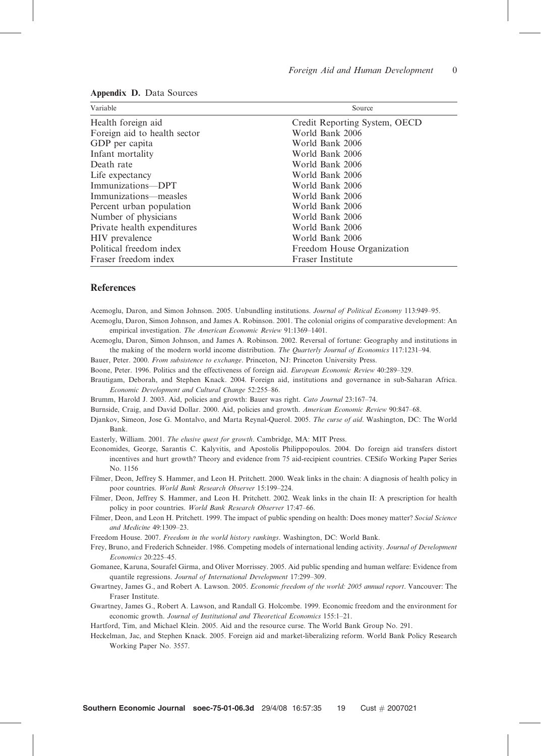| Variable                     | Source                        |
|------------------------------|-------------------------------|
| Health foreign aid           | Credit Reporting System, OECD |
| Foreign aid to health sector | World Bank 2006               |
| GDP per capita               | World Bank 2006               |
| Infant mortality             | World Bank 2006               |
| Death rate                   | World Bank 2006               |
| Life expectancy              | World Bank 2006               |
| Immunizations-DPT            | World Bank 2006               |
| Immunizations—measles        | World Bank 2006               |
| Percent urban population     | World Bank 2006               |
| Number of physicians         | World Bank 2006               |
| Private health expenditures  | World Bank 2006               |
| HIV prevalence               | World Bank 2006               |
| Political freedom index      | Freedom House Organization    |
| Fraser freedom index         | Fraser Institute              |

#### Appendix D. Data Sources

### References

Acemoglu, Daron, and Simon Johnson. 2005. Unbundling institutions. Journal of Political Economy 113:949–95.

- Acemoglu, Daron, Simon Johnson, and James A. Robinson. 2001. The colonial origins of comparative development: An empirical investigation. The American Economic Review 91:1369–1401.
- Acemoglu, Daron, Simon Johnson, and James A. Robinson. 2002. Reversal of fortune: Geography and institutions in the making of the modern world income distribution. The Quarterly Journal of Economics 117:1231–94.
- Bauer, Peter. 2000. From subsistence to exchange. Princeton, NJ: Princeton University Press.
- Boone, Peter. 1996. Politics and the effectiveness of foreign aid. European Economic Review 40:289–329.
- Brautigam, Deborah, and Stephen Knack. 2004. Foreign aid, institutions and governance in sub-Saharan Africa. Economic Development and Cultural Change 52:255–86.

Brumm, Harold J. 2003. Aid, policies and growth: Bauer was right. Cato Journal 23:167–74.

- Burnside, Craig, and David Dollar. 2000. Aid, policies and growth. American Economic Review 90:847–68.
- Djankov, Simeon, Jose G. Montalvo, and Marta Reynal-Querol. 2005. The curse of aid. Washington, DC: The World Bank.
- Easterly, William. 2001. The elusive quest for growth. Cambridge, MA: MIT Press.
- Economides, George, Sarantis C. Kalyvitis, and Apostolis Philippopoulos. 2004. Do foreign aid transfers distort incentives and hurt growth? Theory and evidence from 75 aid-recipient countries. CESifo Working Paper Series No. 1156
- Filmer, Deon, Jeffrey S. Hammer, and Leon H. Pritchett. 2000. Weak links in the chain: A diagnosis of health policy in poor countries. World Bank Research Observer 15:199–224.
- Filmer, Deon, Jeffrey S. Hammer, and Leon H. Pritchett. 2002. Weak links in the chain II: A prescription for health policy in poor countries. World Bank Research Observer 17:47–66.
- Filmer, Deon, and Leon H. Pritchett. 1999. The impact of public spending on health: Does money matter? Social Science and Medicine 49:1309–23.
- Freedom House. 2007. Freedom in the world history rankings. Washington, DC: World Bank.
- Frey, Bruno, and Frederich Schneider. 1986. Competing models of international lending activity. Journal of Development Economics 20:225–45.
- Gomanee, Karuna, Sourafel Girma, and Oliver Morrissey. 2005. Aid public spending and human welfare: Evidence from quantile regressions. Journal of International Development 17:299–309.
- Gwartney, James G., and Robert A. Lawson. 2005. Economic freedom of the world: 2005 annual report. Vancouver: The Fraser Institute.
- Gwartney, James G., Robert A. Lawson, and Randall G. Holcombe. 1999. Economic freedom and the environment for economic growth. Journal of Institutional and Theoretical Economics 155:1–21.
- Hartford, Tim, and Michael Klein. 2005. Aid and the resource curse. The World Bank Group No. 291.
- Heckelman, Jac, and Stephen Knack. 2005. Foreign aid and market-liberalizing reform. World Bank Policy Research Working Paper No. 3557.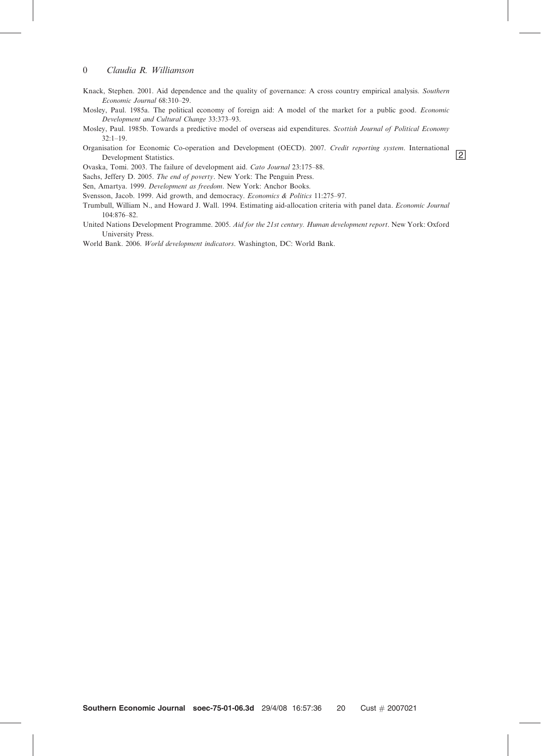- Knack, Stephen. 2001. Aid dependence and the quality of governance: A cross country empirical analysis. Southern Economic Journal 68:310–29.
- Mosley, Paul. 1985a. The political economy of foreign aid: A model of the market for a public good. Economic Development and Cultural Change 33:373–93.
- Mosley, Paul. 1985b. Towards a predictive model of overseas aid expenditures. Scottish Journal of Political Economy 32:1–19.
- Organisation for Economic Co-operation and Development (OECD). 2007. Credit reporting system. International Development Statistics.

Ovaska, Tomi. 2003. The failure of development aid. Cato Journal 23:175–88.

Sachs, Jeffery D. 2005. The end of poverty. New York: The Penguin Press.

Sen, Amartya. 1999. Development as freedom. New York: Anchor Books.

Svensson, Jacob. 1999. Aid growth, and democracy. Economics & Politics 11:275–97.

- Trumbull, William N., and Howard J. Wall. 1994. Estimating aid-allocation criteria with panel data. Economic Journal 104:876–82.
- United Nations Development Programme. 2005. Aid for the 21st century. Human development report. New York: Oxford University Press.

World Bank. 2006. World development indicators. Washington, DC: World Bank.